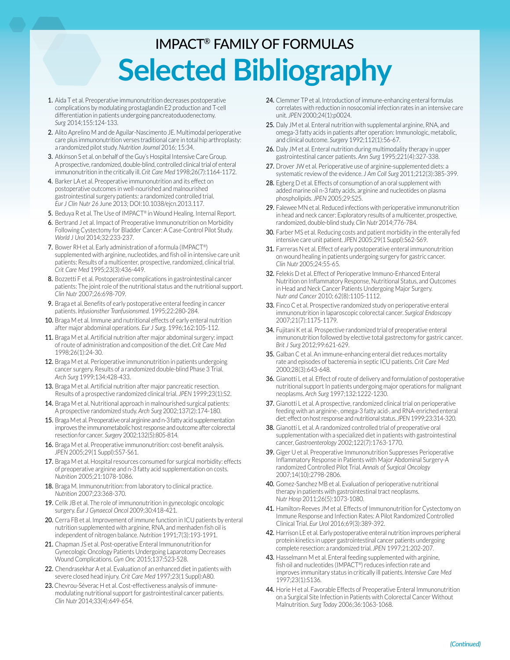## IMPACT® FAMILY OF FORMULAS **Selected Bibliography**

- 1. Aida T et al. Preoperative immunonutrition decreases postoperative complications by modulating prostaglandin E2 production and T-cell differentiation in patients undergoing pancreatoduodenectomy. *Surg* 2014;155:124-133.
- 2. Alito Aprelino M and de Aguilar-Nascimento JE. Multimodal perioperative care plus immunonutrition verses traditional care in total hip arthroplasty: a randomized pilot study. *Nutrition Journal* 2016; 15:34.
- 3. Atkinson S et al. on behalf of the Guy's Hospital Intensive Care Group. A prospective, randomized, double-blind, controlled clinical trial of enteral immunonutrition in the critically ill. *Crit Care Med* 1998;26(7):1164-1172.
- 4. Barker LA et al. Preoperative immunonutrition and its effect on postoperative outcomes in well-nourished and malnourished gastrointestinal surgery patients: a randomized controlled trial. *Eur J Clin Nutr 26* June 2013; DOI:10.1038/ejcn.2013.117.
- 5. Beduya R et al. The Use of IMPACT® in Wound Healing. Internal Report.
- 6. Bertrand J et al. Impact of Preoperative Immunonutrition on Morbidity Following Cystectomy for Bladder Cancer: A Case-Control Pilot Study. *World J Urol* 2014;32:233-237.
- 7. Bower RH et al. Early administration of a formula (IMPACT®) supplemented with arginine, nucleotides, and fish oil in intensive care unit patients: Results of a multicenter, prospective, randomized, clinical trial. *Crit Care Med* 1995;23(3):436-449.
- 8. Bozzetti F et al. Postoperative complications in gastrointestinal cancer patients: The joint role of the nutritional status and the nutritional support. *Clin Nutr* 2007;26:698-709.
- 9. Braga et al. Benefits of early postoperative enteral feeding in cancer patients. *Infusionsther Tranfusionsmed.* 1995;22:280-284.
- 10. Braga M et al. Immune and nutritional effects of early enteral nutrition after major abdominal operations. *Eur J Surg.* 1996;162:105-112.
- 11. Braga M et al. Artificial nutrition after major abdominal surgery: impact of route of administration and composition of the diet. *Crit Care Med* 1998;26(1):24-30.
- 12. Braga M et al. Perioperative immunonutrition in patients undergoing cancer surgery. Results of a randomized double-blind Phase 3 Trial. *Arch Surg* 1999;134:428-433.
- 13. Braga M et al. Artificial nutrition after major pancreatic resection. Results of a prospective randomized clinical trial. *JPEN* 1999;23(1):S2.
- 14. Braga M et al. Nutritional approach in malnourished surgical patients: A prospective randomized study. *Arch Surg* 2002;137(2):174-180.
- 15. Braga M et al. Preoperative oral arginine and n-3 fatty acid supplementation improves the immunometabolic host response and outcome after colorectal resection for cancer. *Surgery* 2002;132(5):805-814.
- 16. Braga M et al. Preoperative immunonutrition: cost-benefit analysis. *JPEN* 2005;29(1 Suppl):S57-S61.
- 17. Braga M et al. Hospital resources consumed for surgical morbidity: effects of preoperative arginine and n-3 fatty acid supplementation on costs. *Nutrition* 2005;21:1078-1086.
- 18. Braga M. Immunonutrition: from laboratory to clinical practice. *Nutrition* 2007;23:368-370.
- 19. Celik JB et al. The role of immunonutrition in gynecologic oncologic surgery. *Eur J Gynaecol Oncol* 2009;30:418-421.
- 20. Cerra FB et al. Improvement of immune function in ICU patients by enteral nutrition supplemented with arginine, RNA, and menhaden fish oil is independent of nitrogen balance. *Nutrition* 1991;7(3):193-1991.
- 21. Chapman JS et al. Post-operative Enteral Immunonutrition for Gynecologic Oncology Patients Undergoing Laparotomy Decreases Wound Complications. *Gyn Onc* 2015;137:523-528.
- 22. Chendrasekhar A et al. Evaluation of an enhanced diet in patients with severe closed head injury. *Crit Care Med* 1997;23(1 Suppl):A80.
- 23. Chevrou-Séverac H et al. Cost-effectiveness analysis of immunemodulating nutritional support for gastrointestinal cancer patients. *Clin Nutr* 2014;33(4):649-654.
- 24. Clemmer TP et al. Introduction of immune-enhancing enteral formulas correlates with reduction in nosocomial infection rates in an intensive care unit. *JPEN* 2000;24(1):p0024.
- 25. Daly JM et al. Enteral nutrition with supplemental arginine, RNA, and omega-3 fatty acids in patients after operation: Immunologic, metabolic, and clinical outcome. *Surgery* 1992;112(1):56-67.
- 26. Daly JM et al. Enteral nutrition during multimodality therapy in upper gastrointestinal cancer patients. *Ann Surg* 1995;221(4):327-338.
- 27. Drover JW et al. Perioperative use of arginine-supplemented diets: a systematic review of the evidence. *J Am Coll Surg* 2011;212(3):385-399.
- 28. Egberg D et al. Effects of consumption of an oral supplement with added marine oil n-3 fatty acids, arginine and nucleotides on plasma phospholipids. *JPEN* 2005;29:S25.
- 29. Falewee MN et al. Reduced infections with perioperative immunonutrition in head and neck cancer: Exploratory results of a multicenter, prospective, randomized, double-blind study. *Clin Nutr* 2014;776-784.
- 30. Farber MS et al. Reducing costs and patient morbidity in the enterally fed intensive care unit patient. *JPEN* 2005;29(1 Suppl):S62-S69.
- 31. Farreras N et al. Effect of early postoperative enteral immunonutrition on wound healing in patients undergoing surgery for gastric cancer. *Clin Nutr* 2005;24:55-65.
- 32. Felekis D et al. Effect of Perioperative Immuno-Enhanced Enteral Nutrition on Inflammatory Response, Nutritional Status, and Outcomes in Head and Neck Cancer Patients Undergoing Major Surgery. *Nutr and Cancer* 2010; 62(8):1105-1112.
- 33. Finco C et al. Prospective randomized study on perioperative enteral immunonutrition in laparoscopic colorectal cancer. *Surgical Endoscopy*  2007;21(7):1175-1179.
- 34. Fujitani K et al. Prospective randomized trial of preoperative enteral immunonutrition followed by elective total gastrectomy for gastric cancer. *Brit J Surg* 2012;99:621-629.
- 35. Galban C et al. An immune-enhancing enteral diet reduces mortality rate and episodes of bacteremia in septic ICU patients. *Crit Care Med* 2000;28(3):643-648.
- 36. Gianotti L et al. Effect of route of delivery and formulation of postoperative nutritional support In patients undergoing major operations for malignant neoplasms. *Arch Surg* 1997;132:1222-1230.
- 37. Gianotti L et al. A prospective, randomized clinical trial on perioperative feeding with an arginine-, omega-3 fatty acid-, and RNA-enriched enteral diet: effect on host response and nutritional status. *JPEN* 1999;23:314-320.
- 38. Gianotti L et al. A randomized controlled trial of preoperative oral supplementation with a specialized diet in patients with gastrointestinal cancer, *Gastroenterology* 2002;122(7):1763-1770.
- 39. Giger U et al. Preoperative Immunonutrition Suppresses Perioperative Inflammatory Response in Patients with Major Abdominal Surgery-A randomized Controlled Pilot Trial. *Annals of Surgical Oncology* 2007;14(10):2798-2806.
- 40. Gomez-Sanchez MB et al. Evaluation of perioperative nutritional therapy in patients with gastrointestinal tract neoplasms. *Nutr Hosp* 2011;26(5):1073-1080.
- 41. Hamilton-Reeves JM et al. Effects of Immunonutrition for Cystectomy on Immune Response and Infection Rates: A Pilot Randomized Controlled Clinical Trial. *Eur Urol* 2016;69(3):389-392.
- 42. Harrison LE et al. Early postoperative enteral nutrition improves peripheral protein kinetics in upper gastrointestinal cancer patients undergoing complete resection: a randomized trial. *JPEN* 1997;21:202-207.
- 43. Hasselmann M et al. Enteral feeding supplemented with arginine, fish oil and nucleotides (IMPACT®) reduces infection rate and improves immunitary status in critically ill patients. *Intensive Care Med* 1997;23(1):S136.
- 44. Horie H et al. Favorable Effects of Preoperative Enteral Immunonutrition on a Surgical Site Infection in Patients with Colorectal Cancer Without Malnutrition. *Surg Today* 2006;36:1063-1068.